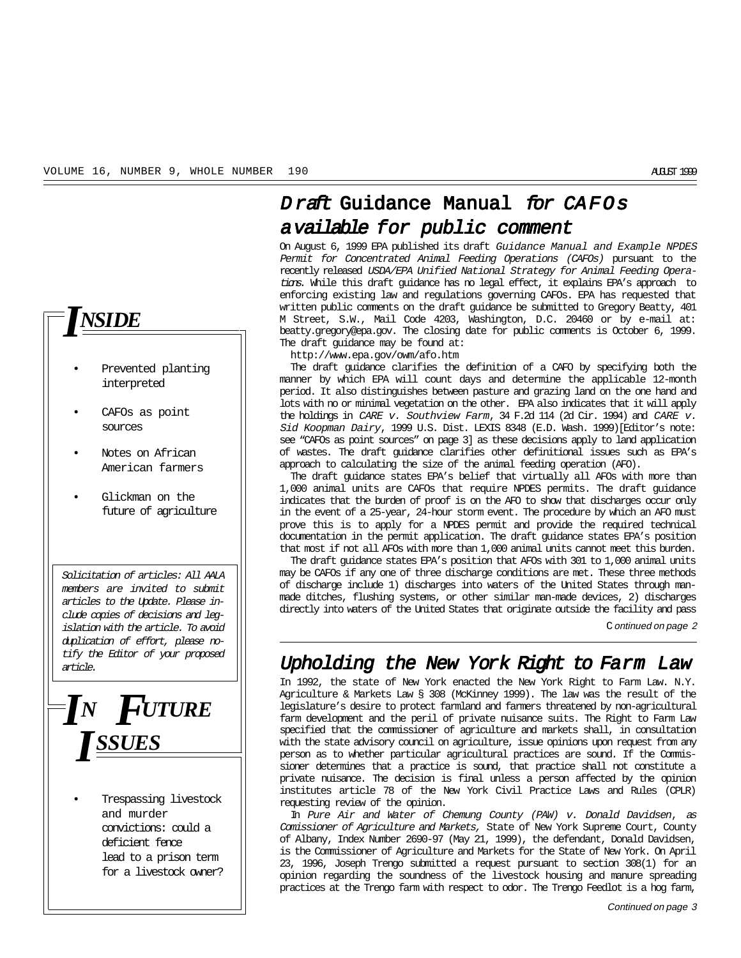

*NSI DE*

*I*

Trespassing livestock and murder convictions: could a deficient fence lead to a prison term for a livestock owner?

# Draft Guidance Manual for CAFOs available for public comment

On August 6, 1999 EPA published its draft Guidance Manual and Example NPDES Permit for Concentrated Animal Feeding Operations (CAFOs) pursuant to the recently released USDA/EPA Unified National Strategy for Animal Feeding Operations. While this draft guidance has no legal effect, it explains EPA's approach to enforcing existing law and regulations governing CAFOs. EPA has requested that written public comments on the draft guidance be submitted to Gregory Beatty, 401 M Street, S.W., Mail Code 4203, Washington, D.C. 20460 or by e-mail at: beatty.gregory@epa.gov. The closing date for public comments is October 6, 1999. The draft guidance may be found at:

http://www.epa.gov/owm/afo.htm

The draft guidance clarifies the definition of a CAFO by specifying both the manner by which EPA will count days and determine the applicable 12-month period. It also distinguishes between pasture and grazing land on the one hand and lots with no or minimal vegetation on the other. EPA also indicates that it will apply the holdings in CARE v. Southview Farm, 34 F.2d 114 (2d Cir. 1994) and CARE v. Sid Koopman Dairy, 1999 U.S. Dist. LEXIS 8348 (E.D. Wash. 1999)[Editor's note: see "CAFOs as point sources" on page 3] as these decisions apply to land application of wastes. The draft guidance clarifies other definitional issues such as EPA's approach to calculating the size of the animal feeding operation (AFO).

The draft guidance states EPA's belief that virtually all AFOs with more than 1,000 animal units are CAFOs that require NPDES permits. The draft guidance indicates that the burden of proof is on the AFO to show that discharges occur only in the event of a 25-year, 24-hour storm event. The procedure by which an AFO must prove this is to apply for a NPDES permit and provide the required technical documentation in the permit application. The draft guidance states EPA's position that most if not all AFOs with more than 1,000 animal units cannot meet this burden.

The draft guidance states EPA's position that AFOs with 301 to 1,000 animal units may be CAFOs if any one of three discharge conditions are met. These three methods of discharge include 1) discharges into waters of the United States through manmade ditches, flushing systems, or other similar man-made devices, 2) discharges directly into waters of the United States that originate outside the facility and pass

C ontinued on page 2

# Upholding the New York Right to Farm Law

In 1992, the state of New York enacted the New York Right to Farm Law. N.Y. Agriculture & Markets Law § 308 (McKinney 1999). The law was the result of the legislature's desire to protect farmland and farmers threatened by non-agricultural farm development and the peril of private nuisance suits. The Right to Farm Law specified that the commissioner of agriculture and markets shall, in consultation with the state advisory council on agriculture, issue opinions upon request from any person as to whether particular agricultural practices are sound. If the Commissioner determines that a practice is sound, that practice shall not constitute a private nuisance. The decision is final unless a person affected by the opinion institutes article 78 of the New York Civil Practice Laws and Rules (CPLR) requesting review of the opinion.

In Pure Air and Water of Chemung County (PAW) v. Donald Davidsen, as Comissioner of Agriculture and Markets, State of New York Supreme Court, County of Albany, Index Number 2690-97 (May 21, 1999), the defendant, Donald Davidsen, is the Commissioner of Agriculture and Markets for the State of New York. On April 23, 1996, Joseph Trengo submitted a request pursuant to section 308(1) for an opinion regarding the soundness of the livestock housing and manure spreading practices at the Trengo farm with respect to odor. The Trengo Feedlot is a hog farm,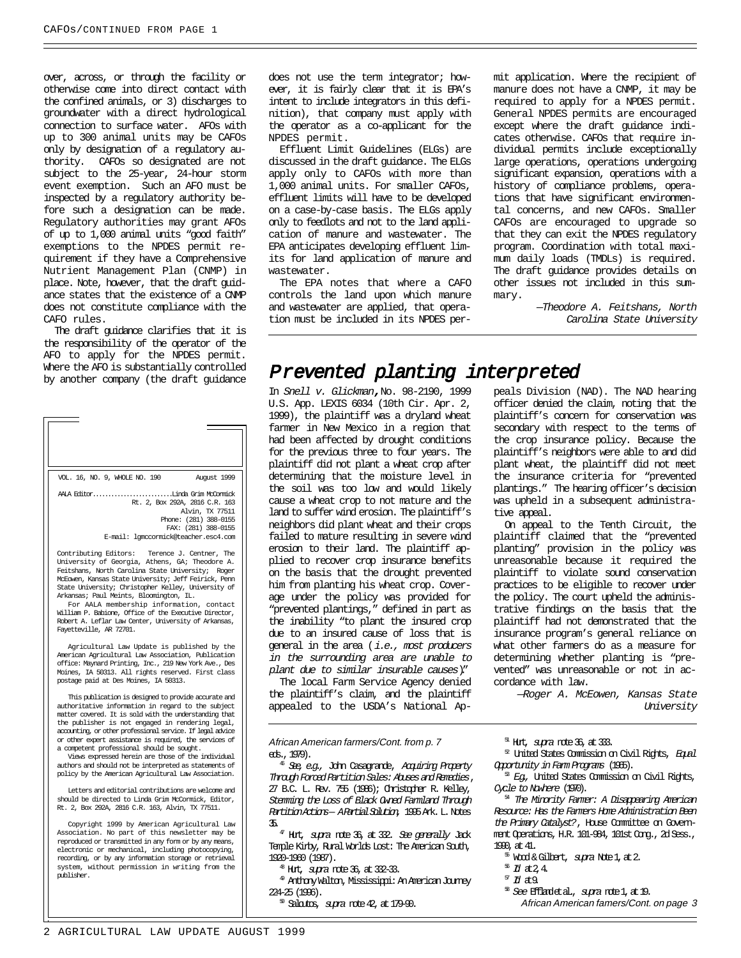over, across, or through the facility or otherwise come into direct contact with the confined animals, or 3) discharges to groundwater with a direct hydrological connection to surface water. AFOs with up to 300 animal units may be CAFOs only by designation of a regulatory authority. CAFOs so designated are not subject to the 25-year, 24-hour storm event exemption. Such an AFO must be inspected by a regulatory authority before such a designation can be made. Regulatory authorities may grant AFOs of up to 1,000 animal units "good faith" exemptions to the NPDES permit requirement if they have a Comprehensive Nutrient Management Plan (CNMP) in place. Note, however, that the draft guidance states that the existence of a CNMP does not constitute compliance with the CAFO rules.

The draft guidance clarifies that it is the responsibility of the operator of the AFO to apply for the NPDES permit. Where the AFO is substantially controlled by another company (the draft guidance

| VOL. 16, NO. 9, WHOLE NO. 190<br>August 1999                                                                                                                                                                                                                                                                                                                                                                                                                                                                                                                            |
|-------------------------------------------------------------------------------------------------------------------------------------------------------------------------------------------------------------------------------------------------------------------------------------------------------------------------------------------------------------------------------------------------------------------------------------------------------------------------------------------------------------------------------------------------------------------------|
| Linda Grim McCommick<br>AALA Editor<br>Rt. 2, Box 292A, 2816 C.R. 163<br>Alvin, TX 77511<br>Phone: (281) 388-0155<br>FAX: (281) 388-0155<br>E-mail: lqmccormick@teacher.esc4.com                                                                                                                                                                                                                                                                                                                                                                                        |
| Contributing Editors:<br>Terence J. Centner, The<br>University of Georgia, Athens, GA; Theodore A.<br>Feitshans, North Carolina State University;<br>Roger<br>McEowen, Kansas State University; Jeff Feirick, Penn<br>State University; Christopher Kelley, University of<br>Arkansas; Paul Meints, Bloomington, IL.<br>For AALA membership information, contact<br>William P. Babione, Office of the Executive Director,<br>Robert A. Leflar Law Center, University of Arkansas,<br>Fayetteville, AR 72701.                                                            |
| Agricultural Law Update is published by the<br>American Agricultural Law Association, Publication<br>office: Maynard Printing, Inc., 219 New York Ave., Des<br>Moines, IA 50313. All rights reserved. First class<br>postage paid at Des Moines, IA 50313.                                                                                                                                                                                                                                                                                                              |
| This publication is designed to provide accurate and<br>authoritative information in regard to the subject<br>matter covered. It is sold with the understanding that<br>the publisher is not engaged in rendering legal,<br>accounting, or other professional service. If legal advice<br>or other expert assistance is required, the services of<br>a competent professional should be sought.<br>Views expressed herein are those of the individual<br>authors and should not be interpreted as statements of<br>policy by the American Agricultural Law Association. |
| Letters and editorial contributions are welcome and<br>should be directed to Linda Grim McCormick, Editor,<br>Rt. 2, Box 292A, 2816 C.R. 163, Alvin, TX 77511.                                                                                                                                                                                                                                                                                                                                                                                                          |
| Copyright 1999 by American Agricultural Law<br>Association. No part of this newsletter may be<br>reproduced or transmitted in any form or by any means,<br>electronic or mechanical, including photocopying,<br>recording, or by any information storage or retrieval<br>system, without permission in writing from the<br>publisher.                                                                                                                                                                                                                                   |
|                                                                                                                                                                                                                                                                                                                                                                                                                                                                                                                                                                         |

does not use the term integrator; however, it is fairly clear that it is EPA's intent to include integrators in this definition), that company must apply with the operator as a co-applicant for the NPDES permit.

Effluent Limit Guidelines (ELGs) are discussed in the draft guidance. The ELGs apply only to CAFOs with more than 1,000 animal units. For smaller CAFOs, effluent limits will have to be developed on a case-by-case basis. The ELGs apply only to feedlots and not to the land application of manure and wastewater. The EPA anticipates developing effluent limits for land application of manure and wastewater.

The EPA notes that where a CAFO controls the land upon which manure and wastewater are applied, that operation must be included in its NPDES permit application. Where the recipient of manure does not have a CNMP, it may be required to apply for a NPDES permit. General NPDES permits are encouraged except where the draft guidance indicates otherwise. CAFOs that require individual permits include exceptionally large operations, operations undergoing significant expansion, operations with a history of compliance problems, operations that have significant environmental concerns, and new CAFOs. Smaller CAFOs are encouraged to upgrade so that they can exit the NPDES regulatory program. Coordination with total maximum daily loads (TMDLs) is required. The draft guidance provides details on other issues not included in this summary.

> —Theodore A. Feitshans, North Carolina State University

### Prevented planting interpreted

In Snell v. Glickman,No. 98-2190, 1999 U.S. App. LEXIS 6034 (10th Cir. Apr. 2, 1999), the plaintiff was a dryland wheat farmer in New Mexico in a region that had been affected by drought conditions for the previous three to four years. The plaintiff did not plant a wheat crop after determining that the moisture level in the soil was too low and would likely cause a wheat crop to not mature and the land to suffer wind erosion. The plaintiff's neighbors did plant wheat and their crops failed to mature resulting in severe wind erosion to their land. The plaintiff applied to recover crop insurance benefits on the basis that the drought prevented him from planting his wheat crop. Coverage under the policy was provided for "prevented plantings," defined in part as the inability "to plant the insured crop due to an insured cause of loss that is general in the area (i.e., most producers in the surrounding area are unable to plant due to similar insurable causes)."

The local Farm Service Agency denied the plaintiff's claim, and the plaintiff appealed to the USDA's National Ap-

eds.,1979). African American farmers/Cont. from p. 7

<sup>46</sup> See, e.g., John Casagrande, Acquiring Property Through Forced Partition Sales: Abuses and Remedies, 27 B.C. L. Rev. 755 (1986); Christopher R. Kelley, Stemming the Loss of Black Owned Farmland Through PartitionActions— APartialSolution, 1995 Ark. L. Notes 35.

 $\,^4$  Hut, supra note 36, at 332. See generally Jack Temple Kirby, Rural Worlds Lost: The American South, 1920-1960 (1987).

 $48$  Hut, supra note 36, at 332-33.

<sup>49</sup> Anthony Walton, Mississippi: An American Journey 224-25 (1996).

 $50$  Saloutos, supra note 42, at 179-90.

peals Division (NAD). The NAD hearing officer denied the claim, noting that the plaintiff's concern for conservation was secondary with respect to the terms of the crop insurance policy. Because the plaintiff's neighbors were able to and did plant wheat, the plaintiff did not meet the insurance criteria for "prevented plantings." The hearing officer's decision was upheld in a subsequent administrative appeal.

On appeal to the Tenth Circuit, the plaintiff claimed that the "prevented planting" provision in the policy was unreasonable because it required the plaintiff to violate sound conservation practices to be eligible to recover under the policy. The court upheld the administrative findings on the basis that the plaintiff had not demonstrated that the insurance program's general reliance on what other farmers do as a measure for determining whether planting is "prevented" was unreasonable or not in accordance with law.

—Roger A. McEowen, Kansas State University

 $5\overline{1}$  Hut, supra note 36, at 333.

 $2^{\circ}$  United States Commission on Civil Rights, Equal Opportunity in Farm Programs (1965).

 $53$  Eg., United States Commission on Civil Rights, Cycle to Nowhere (1970).

<sup>54</sup> The Minority Farmer: A Disappearing American Resource: Has the Farmers Home Administration Been the Primary Catalyst?, House Committee on Government Operations, H.R. 101-984, 101st Cong., 2d Sess., 1990, at 41.

- $5$  Wood & Gilbert, supra Note 1, at 2.
- $5 \overline{d}$  at 2.4.
- $57$  *II* at 9.
- $58$  See Efflandetal., supra note 1, at 19.

African American famers/Cont. on page 3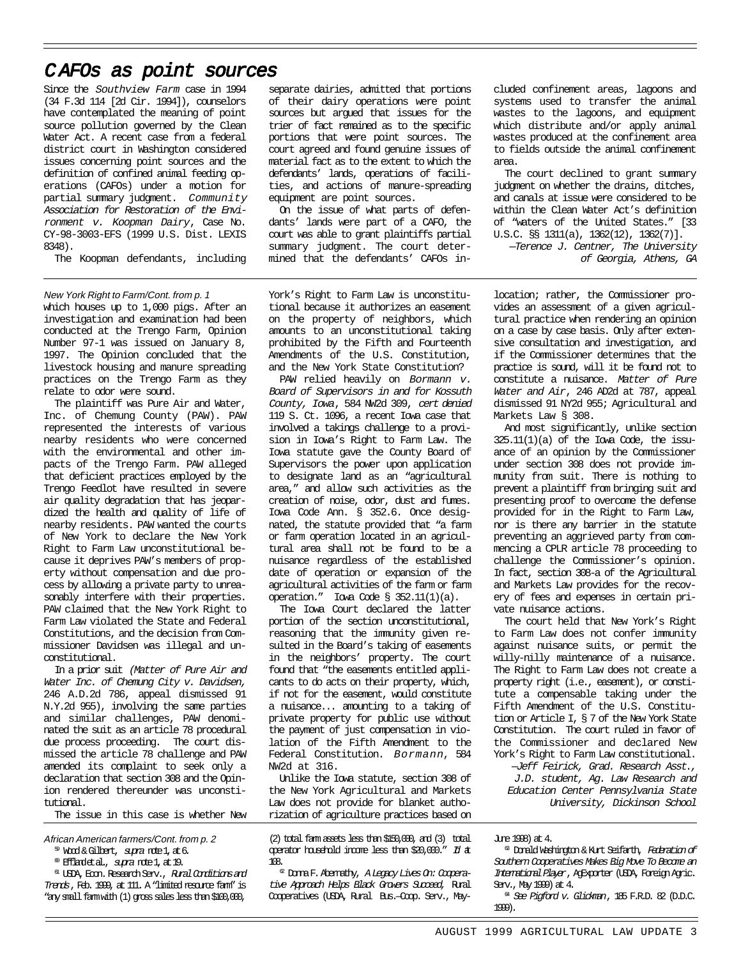### CAFOs as point sources

Since the Southview Farm case in 1994 (34 F.3d 114 [2d Cir. 1994]), counselors have contemplated the meaning of point source pollution governed by the Clean Water Act. A recent case from a federal district court in Washington considered issues concerning point sources and the definition of confined animal feeding operations (CAFOs) under a motion for partial summary judgment. Community Association for Restoration of the Environment v. Koopman Dairy, Case No. CY-98-3003-EFS (1999 U.S. Dist. LEXIS 8348).

The Koopman defendants, including

#### New York Right to Farm/Cont. from p. 1

which houses up to 1,000 pigs. After an investigation and examination had been conducted at the Trengo Farm, Opinion Number 97-1 was issued on January 8, 1997. The Opinion concluded that the livestock housing and manure spreading practices on the Trengo Farm as they relate to odor were sound.

The plaintiff was Pure Air and Water, Inc. of Chemung County (PAW). PAW represented the interests of various nearby residents who were concerned with the environmental and other impacts of the Trengo Farm. PAW alleged that deficient practices employed by the Trengo Feedlot have resulted in severe air quality degradation that has jeopardized the health and quality of life of nearby residents. PAW wanted the courts of New York to declare the New York Right to Farm Law unconstitutional because it deprives PAW's members of property without compensation and due process by allowing a private party to unreasonably interfere with their properties. PAW claimed that the New York Right to Farm Law violated the State and Federal Constitutions, and the decision from Commissioner Davidsen was illegal and unconstitutional.

In a prior suit (Matter of Pure Air and Water Inc. of Chemung City v. Davidsen, 246 A.D.2d 786, appeal dismissed 91 N.Y.2d 955), involving the same parties and similar challenges, PAW denominated the suit as an article 78 procedural due process proceeding. The court dismissed the article 78 challenge and PAW amended its complaint to seek only a declaration that section 308 and the Opinion rendered thereunder was unconstitutional.

The issue in this case is whether New

African American farmers/Cont. from p. 2

- $9$  Wood & Gilbert, supra note 1, at 6.
- $60$  Efflandetal., supra note 1, at 19.

<sup>61</sup> USDA, Econ. Research Serv., Rural Conditions and Trends, Feb. 1999, at 111. A "limited resource fam" is "any small farm with (1) gross sales less than \$100,000,

separate dairies, admitted that portions of their dairy operations were point sources but argued that issues for the trier of fact remained as to the specific portions that were point sources. The court agreed and found genuine issues of material fact as to the extent to which the defendants' lands, operations of facilities, and actions of manure-spreading equipment are point sources.

On the issue of what parts of defendants' lands were part of a CAFO, the court was able to grant plaintiffs partial summary judgment. The court determined that the defendants' CAFOs in-

York's Right to Farm Law is unconstitutional because it authorizes an easement on the property of neighbors, which amounts to an unconstitutional taking prohibited by the Fifth and Fourteenth Amendments of the U.S. Constitution, and the New York State Constitution?

PAW relied heavily on Bormann v. Board of Supervisors in and for Kossuth County, Iowa, 584 NW2d 309, cert denied 119 S. Ct. 1096, a recent Iowa case that involved a takings challenge to a provision in Iowa's Right to Farm Law. The Iowa statute gave the County Board of Supervisors the power upon application to designate land as an "agricultural area," and allow such activities as the creation of noise, odor, dust and fumes. Iowa Code Ann. § 352.6. Once designated, the statute provided that "a farm or farm operation located in an agricultural area shall not be found to be a nuisance regardless of the established date of operation or expansion of the agricultural activities of the farm or farm operation." Iowa Code § 352.11(1)(a).

The Iowa Court declared the latter portion of the section unconstitutional, reasoning that the immunity given resulted in the Board's taking of easements in the neighbors' property. The court found that "the easements entitled applicants to do acts on their property, which, if not for the easement, would constitute a nuisance... amounting to a taking of private property for public use without the payment of just compensation in violation of the Fifth Amendment to the Federal Constitution. Bormann, 584 NW2d at 316.

Unlike the Iowa statute, section 308 of the New York Agricultural and Markets Law does not provide for blanket authorization of agriculture practices based on

 $(2)$  total farm assets less than  $$150,000$ , and  $(3)$  total operator household income less than  $$20,000."$  Id at 108.

 $^{\circ}$  Donna F. Abernathy, A Legacy Lives On: Cooperative Approach Helps Black Growers Succeed, Rural Cooperatives (USDA, Rural Bus.—Coop. Serv., Maycluded confinement areas, lagoons and systems used to transfer the animal wastes to the lagoons, and equipment which distribute and/or apply animal wastes produced at the confinement area to fields outside the animal confinement area.

The court declined to grant summary judgment on whether the drains, ditches, and canals at issue were considered to be within the Clean Water Act's definition of "waters of the United States." [33 U.S.C. §§ 1311(a), 1362(12), 1362(7)].

—Terence J. Centner, The University of Georgia, Athens, GA

location; rather, the Commissioner provides an assessment of a given agricultural practice when rendering an opinion on a case by case basis. Only after extensive consultation and investigation, and if the Commissioner determines that the practice is sound, will it be found not to constitute a nuisance. Matter of Pure Water and Air, 246 AD2d at 787, appeal dismissed 91 NY2d 955; Agricultural and Markets Law § 308.

And most significantly, unlike section 325.11(1)(a) of the Iowa Code, the issuance of an opinion by the Commissioner under section 308 does not provide immunity from suit. There is nothing to prevent a plaintiff from bringing suit and presenting proof to overcome the defense provided for in the Right to Farm Law, nor is there any barrier in the statute preventing an aggrieved party from commencing a CPLR article 78 proceeding to challenge the Commissioner's opinion. In fact, section 308-a of the Agricultural and Markets Law provides for the recovery of fees and expenses in certain private nuisance actions.

The court held that New York's Right to Farm Law does not confer immunity against nuisance suits, or permit the willy-nilly maintenance of a nuisance. The Right to Farm Law does not create a property right (i.e., easement), or constitute a compensable taking under the Fifth Amendment of the U.S. Constitution or Article I, § 7 of the New York State Constitution. The court ruled in favor of the Commissioner and declared New York's Right to Farm Law constitutional.

—Jeff Feirick, Grad. Research Asst., J.D. student, Ag. Law Research and Education Center Pennsylvania State University, Dickinson School

#### June 1998) at 4.

<sup>64</sup> See Pigford v. Glickman, 185 F.R.D. 82 (D.D.C. 1999).

 $^{\text{\tiny{63}}}$  Donald Washington & Kurt Seifarth, *Federation of* Southern Cooperatives Makes Big Move To Become an International Player, AgExporter (USDA, Foreign Agric. Serv., May 1999) at 4.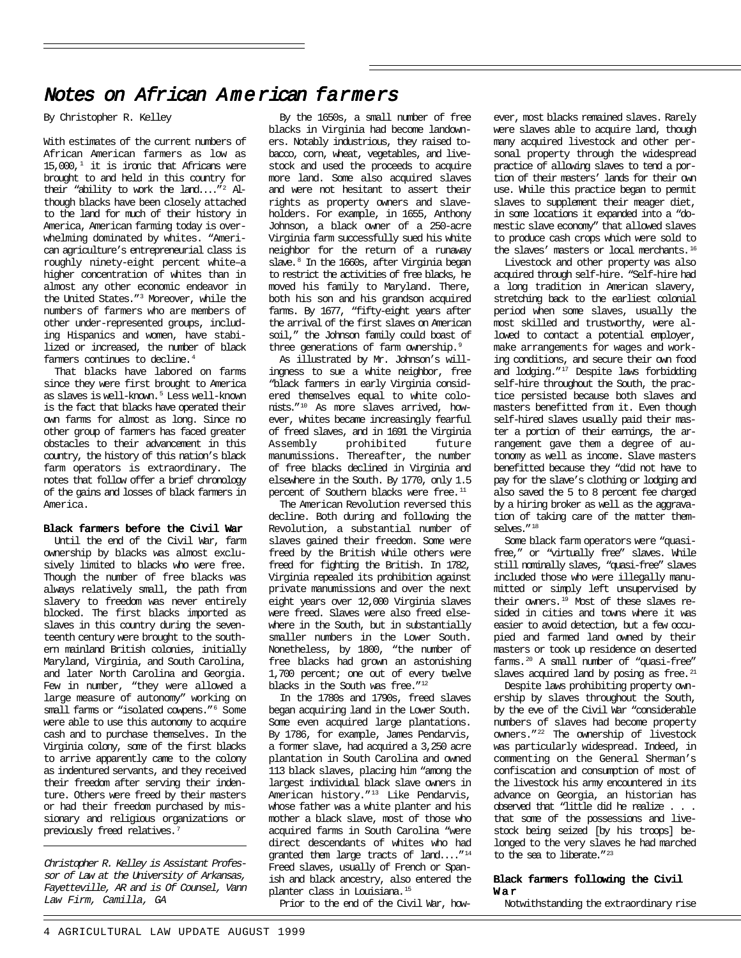### Notes on African American farmers

By Christopher R. Kelley

With estimates of the current numbers of African American farmers as low as  $15,000,$ <sup>1</sup> it is ironic that Africans were brought to and held in this country for their "ability to work the land...."<sup>2</sup> Although blacks have been closely attached to the land for much of their history in America, American farming today is overwhelming dominated by whites. "American agriculture's entrepreneurial class is roughly ninety-eight percent white–a higher concentration of whites than in almost any other economic endeavor in the United States."3 Moreover, while the numbers of farmers who are members of other under-represented groups, including Hispanics and women, have stabilized or increased, the number of black farmers continues to decline.<sup>4</sup>

That blacks have labored on farms since they were first brought to America as slaves is well-known.<sup>5</sup> Less well-known is the fact that blacks have operated their own farms for almost as long. Since no other group of farmers has faced greater obstacles to their advancement in this country, the history of this nation's black farm operators is extraordinary. The notes that follow offer a brief chronology of the gains and losses of black farmers in America.

### Black farmers before the Civil War

Until the end of the Civil War, farm ownership by blacks was almost exclusively limited to blacks who were free. Though the number of free blacks was always relatively small, the path from slavery to freedom was never entirely blocked. The first blacks imported as slaves in this country during the seventeenth century were brought to the southern mainland British colonies, initially Maryland, Virginia, and South Carolina, and later North Carolina and Georgia. Few in number, "they were allowed a large measure of autonomy" working on small farms or "isolated cowpens."<sup>6</sup> Some were able to use this autonomy to acquire cash and to purchase themselves. In the Virginia colony, some of the first blacks to arrive apparently came to the colony as indentured servants, and they received their freedom after serving their indenture. Others were freed by their masters or had their freedom purchased by missionary and religious organizations or previously freed relatives.<sup>7</sup>

Christopher R. Kelley is Assistant Professor of Law at the University of Arkansas, Fayetteville, AR and is Of Counsel, Vann Law Firm, Camilla, GA

By the 1650s, a small number of free blacks in Virginia had become landowners. Notably industrious, they raised tobacco, corn, wheat, vegetables, and livestock and used the proceeds to acquire more land. Some also acquired slaves and were not hesitant to assert their rights as property owners and slaveholders. For example, in 1655, Anthony Johnson, a black owner of a 250-acre Virginia farm successfully sued his white neighbor for the return of a runaway slave.<sup>8</sup> In the 1660s, after Virginia began to restrict the activities of free blacks, he moved his family to Maryland. There, both his son and his grandson acquired farms. By 1677, "fifty-eight years after the arrival of the first slaves on American soil," the Johnson family could boast of three generations of farm ownership.<sup>9</sup>

As illustrated by Mr. Johnson's willingness to sue a white neighbor, free "black farmers in early Virginia considered themselves equal to white colonists."10 As more slaves arrived, however, whites became increasingly fearful of freed slaves, and in 1691 the Virginia Assembly prohibited future manumissions. Thereafter, the number of free blacks declined in Virginia and elsewhere in the South. By 1770, only 1.5 percent of Southern blacks were free.<sup>11</sup>

The American Revolution reversed this decline. Both during and following the Revolution, a substantial number of slaves gained their freedom. Some were freed by the British while others were freed for fighting the British. In 1782, Virginia repealed its prohibition against private manumissions and over the next eight years over 12,000 Virginia slaves were freed. Slaves were also freed elsewhere in the South, but in substantially smaller numbers in the Lower South. Nonetheless, by 1800, "the number of free blacks had grown an astonishing 1,700 percent; one out of every twelve blacks in the South was free."<sup>12</sup>

In the 1780s and 1790s, freed slaves began acquiring land in the Lower South. Some even acquired large plantations. By 1786, for example, James Pendarvis, a former slave, had acquired a 3,250 acre plantation in South Carolina and owned 113 black slaves, placing him "among the largest individual black slave owners in American history."<sup>13</sup> Like Pendarvis, whose father was a white planter and his mother a black slave, most of those who acquired farms in South Carolina "were direct descendants of whites who had granted them large tracts of land...."<sup>14</sup> Freed slaves, usually of French or Spanish and black ancestry, also entered the planter class in Louisiana.<sup>15</sup>

Prior to the end of the Civil War, how-

ever, most blacks remained slaves. Rarely were slaves able to acquire land, though many acquired livestock and other personal property through the widespread practice of allowing slaves to tend a portion of their masters' lands for their own use. While this practice began to permit slaves to supplement their meager diet, in some locations it expanded into a "domestic slave economy" that allowed slaves to produce cash crops which were sold to the slaves' masters or local merchants.<sup>16</sup>

Livestock and other property was also acquired through self-hire. "Self-hire had a long tradition in American slavery, stretching back to the earliest colonial period when some slaves, usually the most skilled and trustworthy, were allowed to contact a potential employer, make arrangements for wages and working conditions, and secure their own food and lodging."<sup>17</sup> Despite laws forbidding self-hire throughout the South, the practice persisted because both slaves and masters benefitted from it. Even though self-hired slaves usually paid their master a portion of their earnings, the arrangement gave them a degree of autonomy as well as income. Slave masters benefitted because they "did not have to pay for the slave's clothing or lodging and also saved the 5 to 8 percent fee charged by a hiring broker as well as the aggravation of taking care of the matter themselves. $^{\prime\prime}$ <sup>18</sup>

Some black farm operators were "quasifree," or "virtually free" slaves. While still nominally slaves, "quasi-free" slaves included those who were illegally manumitted or simply left unsupervised by their owners.19 Most of these slaves resided in cities and towns where it was easier to avoid detection, but a few occupied and farmed land owned by their masters or took up residence on deserted farms.20 A small number of "quasi-free" slaves acquired land by posing as free. $21$ 

Despite laws prohibiting property ownership by slaves throughout the South, by the eve of the Civil War "considerable numbers of slaves had become property owners."22 The ownership of livestock was particularly widespread. Indeed, in commenting on the General Sherman's confiscation and consumption of most of the livestock his army encountered in its advance on Georgia, an historian has observed that "little did he realize . . . that some of the possessions and livestock being seized [by his troops] belonged to the very slaves he had marched to the sea to liberate." $^{23}$ 

### Black farmers following the Civil War

Notwithstanding the extraordinary rise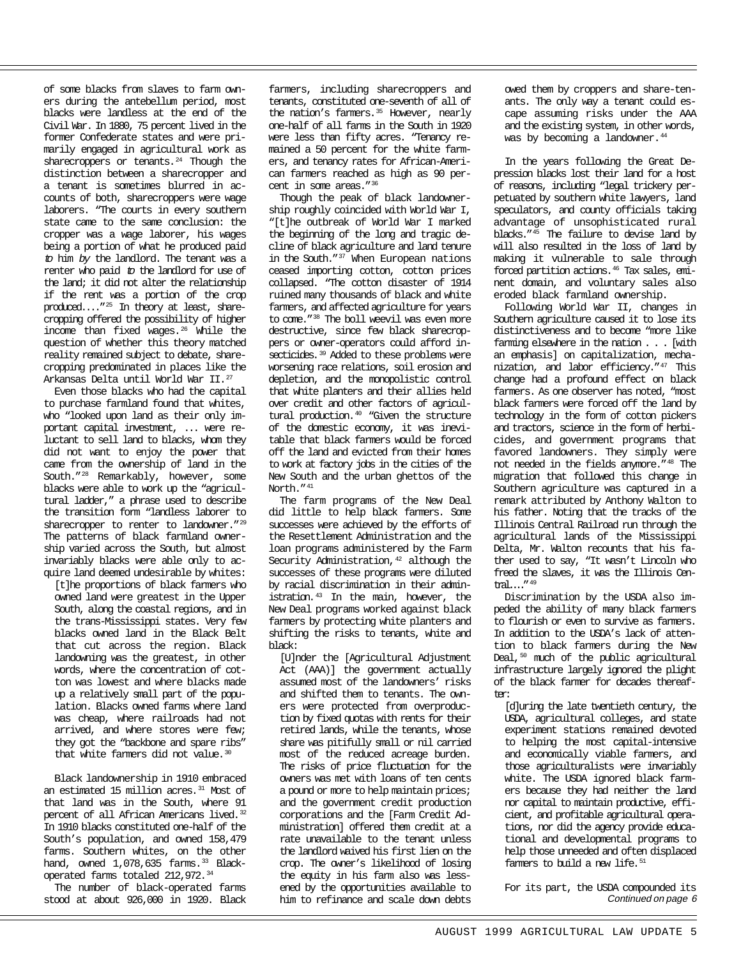of some blacks from slaves to farm owners during the antebellum period, most blacks were landless at the end of the Civil War. In 1880, 75 percent lived in the former Confederate states and were primarily engaged in agricultural work as sharecroppers or tenants. $24$  Though the distinction between a sharecropper and a tenant is sometimes blurred in accounts of both, sharecroppers were wage laborers. "The courts in every southern state came to the same conclusion: the cropper was a wage laborer, his wages being a portion of what he produced paid to him by the landlord. The tenant was a renter who paid to the landlord for use of the land; it did not alter the relationship if the rent was a portion of the crop produced...."25 In theory at least, sharecropping offered the possibility of higher income than fixed wages.<sup>26</sup> While the question of whether this theory matched reality remained subject to debate, sharecropping predominated in places like the Arkansas Delta until World War II.<sup>27</sup>

Even those blacks who had the capital to purchase farmland found that whites, who "looked upon land as their only important capital investment, ... were reluctant to sell land to blacks, whom they did not want to enjoy the power that came from the ownership of land in the South."28 Remarkably, however, some blacks were able to work up the "agricultural ladder," a phrase used to describe the transition form "landless laborer to sharecropper to renter to landowner."<sup>29</sup> The patterns of black farmland ownership varied across the South, but almost invariably blacks were able only to acquire land deemed undesirable by whites:

[t]he proportions of black farmers who owned land were greatest in the Upper South, along the coastal regions, and in the trans-Mississippi states. Very few blacks owned land in the Black Belt that cut across the region. Black landowning was the greatest, in other words, where the concentration of cotton was lowest and where blacks made up a relatively small part of the population. Blacks owned farms where land was cheap, where railroads had not arrived, and where stores were few; they got the "backbone and spare ribs" that white farmers did not value.<sup>30</sup>

Black landownership in 1910 embraced an estimated 15 million acres.<sup>31</sup> Most of that land was in the South, where 91 percent of all African Americans lived.<sup>32</sup> In 1910 blacks constituted one-half of the South's population, and owned 158,479 farms. Southern whites, on the other hand, owned  $1,078,635$  farms.  $33$  Blackoperated farms totaled 212,972.34

The number of black-operated farms stood at about 926,000 in 1920. Black farmers, including sharecroppers and tenants, constituted one-seventh of all of the nation's farmers.<sup>35</sup> However, nearly one-half of all farms in the South in 1920 were less than fifty acres. "Tenancy remained a 50 percent for the white farmers, and tenancy rates for African-American farmers reached as high as 90 percent in some areas."<sup>36</sup>

Though the peak of black landownership roughly coincided with World War I, "[t]he outbreak of World War I marked the beginning of the long and tragic decline of black agriculture and land tenure in the South."37 When European nations ceased importing cotton, cotton prices collapsed. "The cotton disaster of 1914 ruined many thousands of black and white farmers, and affected agriculture for years to come."38 The boll weevil was even more destructive, since few black sharecroppers or owner-operators could afford insecticides.<sup>39</sup> Added to these problems were worsening race relations, soil erosion and depletion, and the monopolistic control that white planters and their allies held over credit and other factors of agricultural production.<sup>40</sup> "Given the structure of the domestic economy, it was inevitable that black farmers would be forced off the land and evicted from their homes to work at factory jobs in the cities of the New South and the urban ghettos of the North."<sup>41</sup>

The farm programs of the New Deal did little to help black farmers. Some successes were achieved by the efforts of the Resettlement Administration and the loan programs administered by the Farm Security Administration,<sup>42</sup> although the successes of these programs were diluted by racial discrimination in their administration.<sup>43</sup> In the main, however, the New Deal programs worked against black farmers by protecting white planters and shifting the risks to tenants, white and black:

[U]nder the [Agricultural Adjustment Act (AAA)] the government actually assumed most of the landowners' risks and shifted them to tenants. The owners were protected from overproduction by fixed quotas with rents for their retired lands, while the tenants, whose share was pitifully small or nil carried most of the reduced acreage burden. The risks of price fluctuation for the owners was met with loans of ten cents a pound or more to help maintain prices; and the government credit production corporations and the [Farm Credit Administration] offered them credit at a rate unavailable to the tenant unless the landlord waived his first lien on the crop. The owner's likelihood of losing the equity in his farm also was lessened by the opportunities available to him to refinance and scale down debts

owed them by croppers and share-tenants. The only way a tenant could escape assuming risks under the AAA and the existing system, in other words, was by becoming a landowner.<sup>44</sup>

In the years following the Great Depression blacks lost their land for a host of reasons, including "legal trickery perpetuated by southern white lawyers, land speculators, and county officials taking advantage of unsophisticated rural blacks."45 The failure to devise land by will also resulted in the loss of land by making it vulnerable to sale through forced partition actions.46 Tax sales, eminent domain, and voluntary sales also eroded black farmland ownership.

Following World War II, changes in Southern agriculture caused it to lose its distinctiveness and to become "more like farming elsewhere in the nation . . . [with an emphasis] on capitalization, mechanization, and labor efficiency."47 This change had a profound effect on black farmers. As one observer has noted, "most black farmers were forced off the land by technology in the form of cotton pickers and tractors, science in the form of herbicides, and government programs that favored landowners. They simply were not needed in the fields anymore."48 The migration that followed this change in Southern agriculture was captured in a remark attributed by Anthony Walton to his father. Noting that the tracks of the Illinois Central Railroad run through the agricultural lands of the Mississippi Delta, Mr. Walton recounts that his father used to say, "It wasn't Lincoln who freed the slaves, it was the Illinois Central...."49

Discrimination by the USDA also impeded the ability of many black farmers to flourish or even to survive as farmers. In addition to the USDA's lack of attention to black farmers during the New Deal,<sup>50</sup> much of the public agricultural infrastructure largely ignored the plight of the black farmer for decades thereafter:

[d]uring the late twentieth century, the USDA, agricultural colleges, and state experiment stations remained devoted to helping the most capital-intensive and economically viable farmers, and those agriculturalists were invariably white. The USDA ignored black farmers because they had neither the land nor capital to maintain productive, efficient, and profitable agricultural operations, nor did the agency provide educational and developmental programs to help those unneeded and often displaced farmers to build a new life.<sup>51</sup>

Continued on page 6 For its part, the USDA compounded its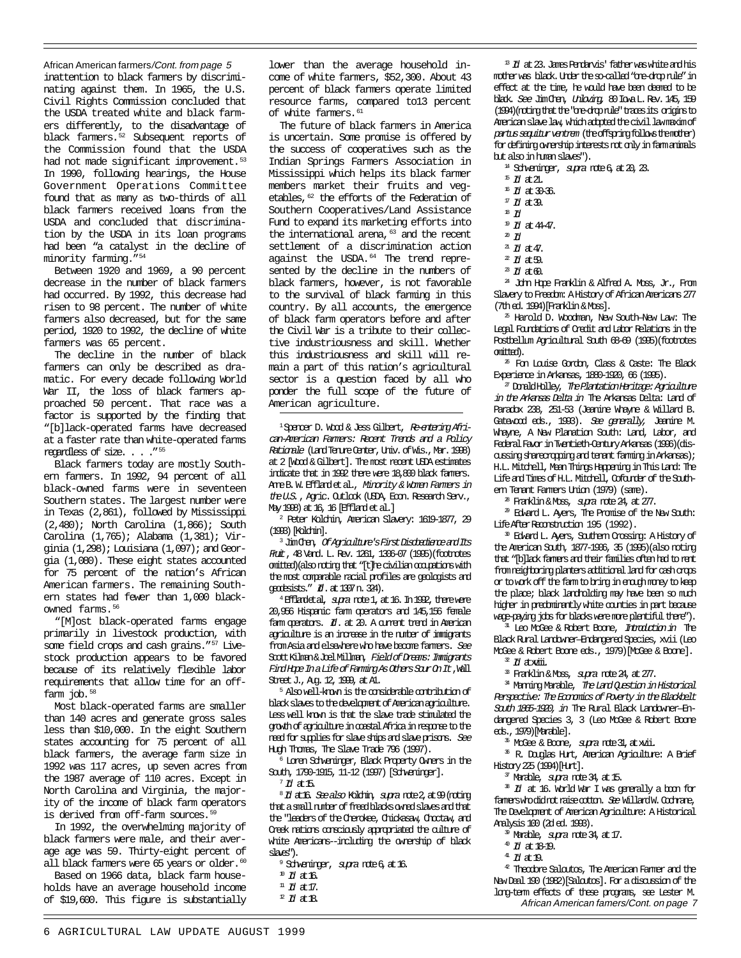inattention to black farmers by discriminating against them. In 1965, the U.S. Civil Rights Commission concluded that the USDA treated white and black farmers differently, to the disadvantage of black farmers.<sup>52</sup> Subsequent reports of the Commission found that the USDA had not made significant improvement.<sup>53</sup> In 1990, following hearings, the House Government Operations Committee found that as many as two-thirds of all black farmers received loans from the USDA and concluded that discrimination by the USDA in its loan programs had been "a catalyst in the decline of minority farming."54

Between 1920 and 1969, a 90 percent decrease in the number of black farmers had occurred. By 1992, this decrease had risen to 98 percent. The number of white farmers also decreased, but for the same period, 1920 to 1992, the decline of white farmers was 65 percent.

The decline in the number of black farmers can only be described as dramatic. For every decade following World War II, the loss of black farmers approached 50 percent. That race was a factor is supported by the finding that "[b]lack-operated farms have decreased at a faster rate than white-operated farms regardless of size. . . .  $\rlap{.}''$   $^{55}$ 

Black farmers today are mostly Southern farmers. In 1992, 94 percent of all black-owned farms were in seventeen Southern states. The largest number were in Texas (2,861), followed by Mississippi (2,480); North Carolina (1,866); South Carolina (1,765); Alabama (1,381); Virginia (1,298); Louisiana (1,097); and Georgia (1,080). These eight states accounted for 75 percent of the nation's African American farmers. The remaining Southern states had fewer than 1,000 blackowned farms.<sup>56</sup>

"[M]ost black-operated farms engage primarily in livestock production, with some field crops and cash grains."<sup>57</sup> Livestock production appears to be favored because of its relatively flexible labor requirements that allow time for an offfarm job.<sup>58</sup>

Most black-operated farms are smaller than 140 acres and generate gross sales less than \$10,000. In the eight Southern states accounting for 75 percent of all black farmers, the average farm size in 1992 was 117 acres, up seven acres from the 1987 average of 110 acres. Except in North Carolina and Virginia, the majority of the income of black farm operators is derived from off-farm sources.<sup>59</sup>

In 1992, the overwhelming majority of black farmers were male, and their average age was 59. Thirty-eight percent of all black farmers were 65 years or older.  $60$ 

Based on 1966 data, black farm households have an average household income of \$19,600. This figure is substantially lower than the average household income of white farmers, \$52,300. About 43 percent of black farmers operate limited resource farms, compared to13 percent of white farmers.<sup>61</sup>

The future of black farmers in America is uncertain. Some promise is offered by the success of cooperatives such as the Indian Springs Farmers Association in Mississippi which helps its black farmer members market their fruits and vegetables, <sup>62</sup> the efforts of the Federation of Southern Cooperatives/Land Assistance Fund to expand its marketing efforts into the international arena, $63$  and the recent settlement of a discrimination action against the USDA.<sup>64</sup> The trend represented by the decline in the numbers of black farmers, however, is not favorable to the survival of black farming in this country. By all accounts, the emergence of black farm operators before and after the Civil War is a tribute to their collective industriousness and skill. Whether this industriousness and skill will remain a part of this nation's agricultural sector is a question faced by all who ponder the full scope of the future of American agriculture.

<sup>1</sup> Spencer D. Wood & Jess Gilbert, Re-entering African-American Farmers: Recent Trends and a Policy Rationale (Land Tenure Center, Univ. of Wis., Mar. 1998) at 2 [Wood & Gilbert]. The most recent USDA estimates indicate that in 1992 there were 18,800 black farmers. AnneB.W.Efflandetal., Minority & Women Farmers in theU.S., Agric. Outlook (USDA, Econ. Research Serv., May1998)at16,16[Efflandetal.]

2 Peter Kolchin, American Slavery: 1619-1877, 29 (1993)[Kolchin].

<sup>3</sup> Jim Chen, *Of Agriculture's First Dischedience and Its* Fruit, 48 Vand. L. Rev. 1261, 1306-07 (1995)(footnotes omitted)(alsonotingthat"[t]hecivilianoccupationswith the most comparable racial profiles are geologists and geodesists." Id.at1307n.324).

 $4$  Efflandetal,  $apa$  note 1, at 16. In 1992, there were 20,956 Hispanic farm operators and 145,156 female farm operators.  $\vec{a}$ . at 20. A current trend in American agriculture is an increase in the number of immigrants from Asia and elsewhere who have become farmers. See Scott Kilman & Joel Millman, Field of Dreams: Immigrants Find Hope In a Life of Faming As Others Sour On It, Wall Street J., A.g. 12, 1999, at Al.

<sup>5</sup> Also well-known is the considerable contribution of black slaves to the development of American agriculture. Less well known is that the slave trade stimulated the growth of agriculture in coastal Africa in response to the need for supplies for slave ships and slave prisons. See Hugh Thomas, The Slave Trade 796 (1997).

6 Loren Schweninger, Black Property Owners in the South, 1790-1915, 11-12 (1997) [Schweninger].

 $7$   $\pi$  15.

 $8$   $\vec{a}$  at 16. See also Koldhin, supra note 2, at 99 (noting that a small number of freed blacks owned slaves and that the "leaders of the Cherokee, Chickasaw, Choctaw, and Creek nations consciously appropriated the culture of white Americans--including the ownership of black slaves").

 $9$  Schweninger, supra note 6, at 16.

- $10$  *II* at 16.
- $\mathbb{1}$  *II* at 17.
- $12$  H at 18.

 $^{13}$  *B* at 23. James Pendarvis' father was white and his mother was black. Under the so-called "one-drop rule" in effect at the time, he would have been deemed to be black. See Jim Chen, Unloving, 80 Iowa L. Rev. 145, 159 (1994)(noting that the "one-drophule" traces its origins to American slave law, which adopted the civil law maxim of partus sequitur ventrem (theoffspringfollowsthemother) for defining ownership interests not only in farm animals but also in human slaves").

<sup>14</sup> Schweninger, supra note 6, at 20, 23.

 $15$   $H$   $\pm 21$ .  $16$   $H$  at 30-36.  $\overline{17}$  Id. at 39.  $18$   $\vec{E}$  $19$  *II* at 44-47.  $2\pi$  $^2$  *I*d at 47.  $2\pi$  at 9.  $23$  Id at 60.

 $^{24}$  John Hope Franklin & Alfred A. Moss, Jr., From Slavery to Freedom: A History of African Americans 277 (7th ed. 1994)[Franklin & Moss].

 $25$  Harold D. Woodman, New South-New Law: The Legal Foundations of Credit and Labor Relations in the Postbellum Agricultural South 68-69 (1995)(footnotes omitted).

 $26$  Fon Louise Gordon, Class & Caste: The Black Experience in Arkansas, 1880-1920, 66 (1995).

<sup>27</sup> DonaldHolley, The Plantation Heritage: Agriculture in the Arkansas Delta in The Arkansas Delta: Land of Paradox 238, 251-53 (Jeanine Whayne & Willard B. Gatewood eds., 1993). See generally, Jeanine M. Whayne, A New Planation South: Land, Labor, and Federal Favor in Twentieth-Century Arkansas (1996)(discussing sharecropping and tenant farming in Arkansas); H.L. Mitchell, Mean Things Happening in This Land: The Life and Times of H.L. Mitchell, Cofounder of the Southern Tenant Farmers Union (1979) (same).

 $^{28}$  Franklin & Moss, supra note 24, at 277.

 $29$  Edward L. Ayers, The Promise of the New South: Life After Reconstruction 195 (1992).

30 Edward L. Ayers, Southern Crossing: A History of the American South, 1877-1906, 35 (1995)(also noting that "[b]lack famers and their families often had to rent from neighboring planters additional land for cash crops or to work off the farm to bring in enough money to keep the place; black landholding may have been so much higher in predominantly white counties in part because wage-paying jobs for blacks were more plentiful there").

<sup>3</sup> Leo McGee & Robert Boone, *Introduction in* The Black Rural Landowner—Endangered Species, xvii (Leo McGee & Robert Boone eds., 1979)[McGee & Boone].  $^{\rm 2}$   $\it 2l$  draiii.

 $33$  Franklin & Moss, supra note 24, at 277. <sup>34</sup> Marning Marable, The Land Question in Historical Perspective: The Economics of Poverty in the Blackbelt South 1865-1920, in The Rural Black Landowner—Endangered Species 3, 3 (Leo McGee & Robert Boone eds., 1979)[Marable].

 $35$  McGee & Boone, supra note 31, at xvii.

36 R. Douglas Hurt, American Agriculture: A Brief History 225 (1994)[Hurt].

 $37$  Marable, supra note 34, at 15.

 $38$   $\overline{B}$  at 16. World War I was generally a boon for famerswhodidnotraisecotton. See Willard W. Codnane, The Development of American Agriculture: A Historical Analysis 100 (2d ed. 1993).

- $39$  Marable, supra note 34, at 17.
- $40$  *Id.* at 18-19.
- $4$  Id at 19.

 $^\text{\textregistered}$  Theodore Saloutos, The American Farmer and the New Deal 190 (1982)[Saloutos]. For a discussion of the long-term effects of these programs, see Lester M. African American famers/Cont. on page 7